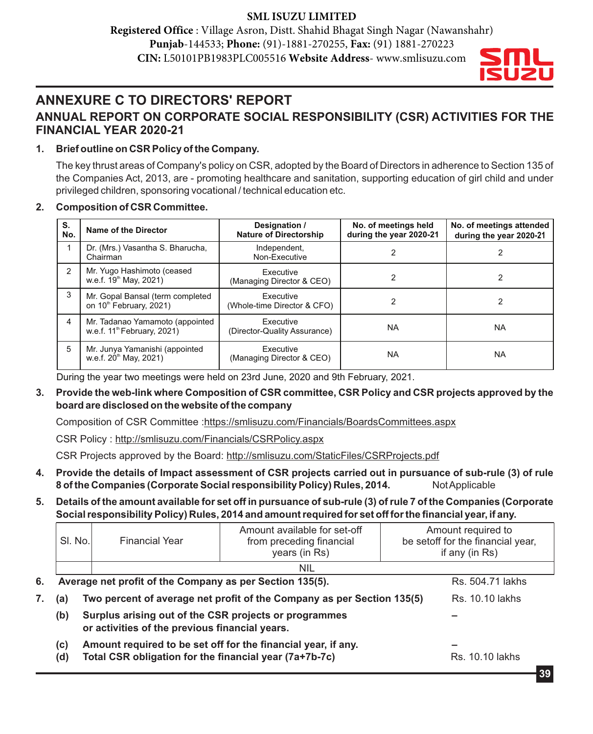## **SML ISUZU LIMITED**

**Registered Office** : Village Asron, Distt. Shahid Bhagat Singh Nagar (Nawanshahr) **Punjab**-144533; **Phone:** (91)-1881-270255, **Fax:** (91) 1881-270223 **CIN:** L50101PB1983PLC005516 **Website Address**- www.smlisuzu.com



# **ANNEXURE C TO DIRECTORS' REPORT ANNUAL REPORT ON CORPORATE SOCIAL RESPONSIBILITY (CSR) ACTIVITIES FOR THE FINANCIAL YEAR 2020-21**

## **1. Brief outline on CSR Policy of the Company.**

The key thrust areas of Company's policy on CSR, adopted by the Board of Directors in adherence to Section 135 of the Companies Act, 2013, are - promoting healthcare and sanitation, supporting education of girl child and under privileged children, sponsoring vocational / technical education etc.

### **2. Composition of CSR Committee.**

| S.<br>No. | Name of the Director                                                       | Designation /<br><b>Nature of Directorship</b> | No. of meetings held<br>during the year 2020-21 | No. of meetings attended<br>during the year 2020-21 |  |
|-----------|----------------------------------------------------------------------------|------------------------------------------------|-------------------------------------------------|-----------------------------------------------------|--|
|           | Dr. (Mrs.) Vasantha S. Bharucha,<br>Chairman                               | Independent,<br>Non-Executive                  |                                                 |                                                     |  |
| 2         | Mr. Yugo Hashimoto (ceased<br>w.e.f. 19 <sup>th</sup> May, 2021)           | Executive<br>(Managing Director & CEO)         |                                                 |                                                     |  |
| 3         | Mr. Gopal Bansal (term completed<br>on 10 <sup>th</sup> February, 2021)    | Executive<br>(Whole-time Director & CFO)       |                                                 |                                                     |  |
| 4         | Mr. Tadanao Yamamoto (appointed<br>w.e.f. 11 <sup>th</sup> February, 2021) | Executive<br>(Director-Quality Assurance)      | <b>NA</b>                                       | <b>NA</b>                                           |  |
| 5         | Mr. Junya Yamanishi (appointed<br>w.e.f. 20 <sup>th</sup> May, 2021)       | Executive<br>(Managing Director & CEO)         | <b>NA</b>                                       | <b>NA</b>                                           |  |

During the year two meetings were held on 23rd June, 2020 and 9th February, 2021.

**3. Provide the web-link where Composition of CSR committee, CSR Policy and CSR projects approved by the board are disclosed on the website of the company**

Composition of CSR Committee :https://smlisuzu.com/Financials/BoardsCommittees.aspx

CSR Policy : http://smlisuzu.com/Financials/CSRPolicy.aspx

CSR Projects approved by the Board: http://smlisuzu.com/StaticFiles/CSRProjects.pdf

- **4. Provide the details of Impact assessment of CSR projects carried out in pursuance of sub-rule (3) of rule 8 of the Companies (Corporate Social responsibility Policy) Rules, 2014.** Not Applicable
- **5. Details of the amount available for set off in pursuance of sub-rule (3) of rule 7 of the Companies (Corporate Social responsibility Policy) Rules, 2014 and amount required for set off for the financial year, if any.**

|    | SI. No.    | <b>Financial Year</b>                                                                                                   | Amount available for set-off<br>from preceding financial<br>years (in Rs) | Amount required to<br>be setoff for the financial year,<br>if any (in Rs) |  |  |  |  |
|----|------------|-------------------------------------------------------------------------------------------------------------------------|---------------------------------------------------------------------------|---------------------------------------------------------------------------|--|--|--|--|
|    |            | <b>NIL</b>                                                                                                              |                                                                           |                                                                           |  |  |  |  |
| 6. |            | Average net profit of the Company as per Section 135(5).                                                                | Rs. 504.71 lakhs                                                          |                                                                           |  |  |  |  |
| 7. | (a)        | Two percent of average net profit of the Company as per Section 135(5)                                                  | Rs. 10.10 lakhs                                                           |                                                                           |  |  |  |  |
|    | (b)        | Surplus arising out of the CSR projects or programmes<br>or activities of the previous financial years.                 |                                                                           |                                                                           |  |  |  |  |
|    | (c)<br>(d) | Amount required to be set off for the financial year, if any.<br>Total CSR obligation for the financial year (7a+7b-7c) | <b>Rs. 10.10 lakhs</b>                                                    |                                                                           |  |  |  |  |
|    |            |                                                                                                                         |                                                                           |                                                                           |  |  |  |  |

**39**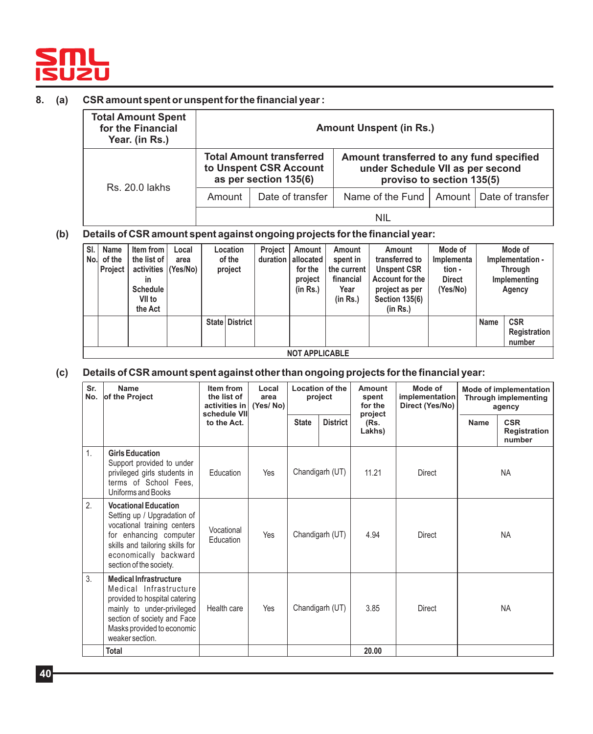

#### **8. (a) CSR amount spent or unspent for the financial year :**

| <b>Total Amount Spent</b><br>for the Financial<br>Year. (in Rs.) | <b>Amount Unspent (in Rs.)</b> |                                                                                    |                                                                                                           |  |  |  |
|------------------------------------------------------------------|--------------------------------|------------------------------------------------------------------------------------|-----------------------------------------------------------------------------------------------------------|--|--|--|
| <b>Rs. 20.0 lakhs</b>                                            |                                | <b>Total Amount transferred</b><br>to Unspent CSR Account<br>as per section 135(6) | Amount transferred to any fund specified<br>under Schedule VII as per second<br>proviso to section 135(5) |  |  |  |
|                                                                  | Amount                         | Date of transfer                                                                   | Name of the Fund   Amount   Date of transfer                                                              |  |  |  |
|                                                                  |                                |                                                                                    | nil                                                                                                       |  |  |  |

#### **(b) Details of CSR amount spent against ongoing projects for the financial year:**

| SI.<br>No.l | Name<br>of the<br><b>Project</b> | Item from<br>the list of<br>activities (Yes/No)<br>in<br><b>Schedule</b><br>VII to<br>the Act | Local<br>area | <b>Location</b><br>of the<br>project |                  | Project<br>duration | Amount<br>allocated<br>for the<br>project<br>(in Rs.) | Amount<br>spent in<br>the current<br>financial<br>Year<br>(in Rs.) | Amount<br>transferred to<br><b>Unspent CSR</b><br>Account for the<br>project as per<br><b>Section 135(6)</b><br>(in Rs.) | Mode of<br>Implementa<br>tion -<br><b>Direct</b><br>(Yes/No) |      | Mode of<br>Implementation -<br>Through<br>Implementing<br>Agency |
|-------------|----------------------------------|-----------------------------------------------------------------------------------------------|---------------|--------------------------------------|------------------|---------------------|-------------------------------------------------------|--------------------------------------------------------------------|--------------------------------------------------------------------------------------------------------------------------|--------------------------------------------------------------|------|------------------------------------------------------------------|
|             |                                  |                                                                                               |               |                                      | State   District |                     |                                                       |                                                                    |                                                                                                                          |                                                              | Name | <b>CSR</b><br>Registration<br>number                             |
|             | <b>NOT APPLICABLE</b>            |                                                                                               |               |                                      |                  |                     |                                                       |                                                                    |                                                                                                                          |                                                              |      |                                                                  |

### **(c) Details of CSR amount spent against other than ongoing projects for the financial year:**

| Sr.<br>No. | Name<br>of the Project                                                                                                                                                                                     | Item from<br>the list of<br>activities in<br>schedule VII | Local<br>area<br>(Yes/No) |              | <b>Location of the</b><br>project | Amount<br>spent<br>for the<br>project | Mode of<br>implementation<br>Direct (Yes/No) | <b>Mode of implementation</b><br><b>Through implementing</b><br>agency |                                      |
|------------|------------------------------------------------------------------------------------------------------------------------------------------------------------------------------------------------------------|-----------------------------------------------------------|---------------------------|--------------|-----------------------------------|---------------------------------------|----------------------------------------------|------------------------------------------------------------------------|--------------------------------------|
|            |                                                                                                                                                                                                            | to the Act.                                               |                           | <b>State</b> | <b>District</b>                   | (Rs.<br>Lakhs)                        |                                              | <b>Name</b>                                                            | <b>CSR</b><br>Registration<br>number |
| 1.         | <b>Girls Education</b><br>Support provided to under<br>privileged girls students in<br>terms of School Fees,<br>Uniforms and Books                                                                         | Education                                                 | Yes                       |              | Chandigarh (UT)                   | 11.21                                 | <b>Direct</b>                                |                                                                        | <b>NA</b>                            |
| 2.         | <b>Vocational Education</b><br>Setting up / Upgradation of<br>vocational training centers<br>for enhancing computer<br>skills and tailoring skills for<br>economically backward<br>section of the society. | Vocational<br>Education                                   | Yes                       |              | Chandigarh (UT)                   | 4.94                                  | <b>Direct</b>                                |                                                                        | <b>NA</b>                            |
| 3.         | <b>Medical Infrastructure</b><br>Medical Infrastructure<br>provided to hospital catering<br>mainly to under-privileged<br>section of society and Face<br>Masks provided to economic<br>weaker section.     | Health care                                               | Yes                       |              | Chandigarh (UT)                   | 3.85                                  | <b>Direct</b>                                |                                                                        | <b>NA</b>                            |
|            | Total                                                                                                                                                                                                      |                                                           |                           |              |                                   | 20.00                                 |                                              |                                                                        |                                      |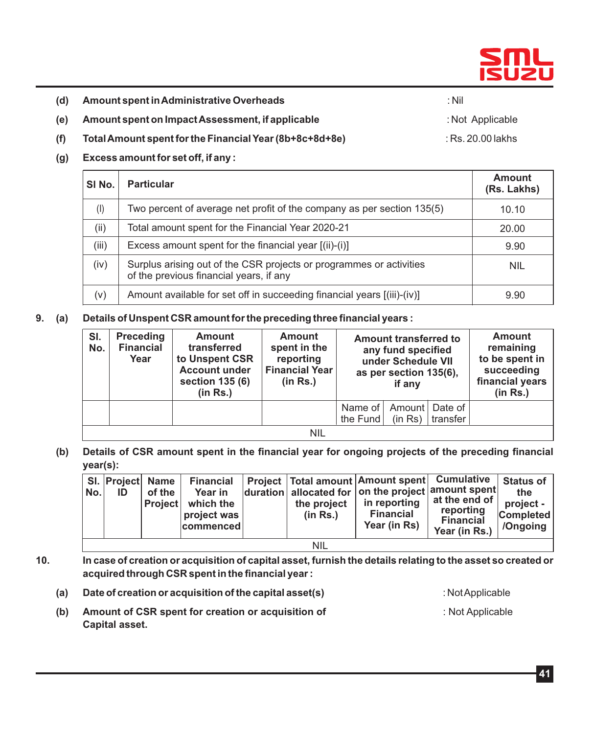

- **(d) Amount spent in Administrative Overheads** : Nil
	-
- **(e) Amount spent on Impact Assessment, if applicable** : Not Applicable
- **(f) Total Amount spent for the Financial Year (8b+8c+8d+8e)** : Rs. 20.00 lakhs
- **(g) Excess amount for set off, if any :**

| SI No.    | <b>Particular</b>                                                                                              | <b>Amount</b><br>(Rs. Lakhs) |
|-----------|----------------------------------------------------------------------------------------------------------------|------------------------------|
| $($ l $)$ | Two percent of average net profit of the company as per section 135(5)                                         | 10.10                        |
| (ii)      | Total amount spent for the Financial Year 2020-21                                                              | 20.00                        |
| (iii)     | Excess amount spent for the financial year [(ii)-(i)]                                                          | 9.90                         |
| (iv)      | Surplus arising out of the CSR projects or programmes or activities<br>of the previous financial years, if any | <b>NIL</b>                   |
| $(\vee)$  | Amount available for set off in succeeding financial years [(iii)-(iv)]                                        | 9.90                         |

**9. (a) Details of Unspent CSR amount for the preceding three financial years :**

| SI.<br>No. | <b>Preceding</b><br><b>Financial</b><br>Year | <b>Amount</b><br>transferred<br>to Unspent CSR<br><b>Account under</b><br>section 135 (6)<br>(in Rs.) | <b>Amount</b><br>spent in the<br>reporting<br><b>Financial Year</b><br>(in Rs.) | Amount transferred to<br>any fund specified<br>under Schedule VII<br>as per section 135(6),<br>if any |         | <b>Amount</b><br>remaining<br>to be spent in<br>succeeding<br>financial years<br>(in Rs.) |  |  |
|------------|----------------------------------------------|-------------------------------------------------------------------------------------------------------|---------------------------------------------------------------------------------|-------------------------------------------------------------------------------------------------------|---------|-------------------------------------------------------------------------------------------|--|--|
|            |                                              |                                                                                                       |                                                                                 | Name of<br>the Fund                                                                                   | (in Rs) | Amount   Date of<br>transfer                                                              |  |  |
|            | <b>NIL</b>                                   |                                                                                                       |                                                                                 |                                                                                                       |         |                                                                                           |  |  |

 **(b) Details of CSR amount spent in the financial year for ongoing projects of the preceding financial year(s):**

| No.        | SI. Project Name<br>ID | of the<br><b>Project</b> | <b>Financial</b><br>Year in<br>which the<br>project was<br>commenced |  | the project<br>(in Rs.) | Project   Total amount   Amount spent   Cumulative<br>$ $ duration   allocated for $ $ on the project $ $ amount spent $ $<br>in reporting<br><b>Financial</b><br>Year (in Rs) | at the end of<br>reporting<br><b>Financial</b><br>Year (in Rs.) | <b>Status of</b><br>the<br>project -<br><b>Completed</b><br>/Ongoing |
|------------|------------------------|--------------------------|----------------------------------------------------------------------|--|-------------------------|--------------------------------------------------------------------------------------------------------------------------------------------------------------------------------|-----------------------------------------------------------------|----------------------------------------------------------------------|
| <b>NIL</b> |                        |                          |                                                                      |  |                         |                                                                                                                                                                                |                                                                 |                                                                      |

- **10. In case of creation or acquisition of capital asset, furnish the details relating to the asset so created or acquired through CSR spent in the financial year :** 
	- **(a) Date of creation or acquisition of the capital asset(s)** : Not Applicable
	- **(b) Amount of CSR spent for creation or acquisition of** : Not Applicable  **Capital asset.**

**41**